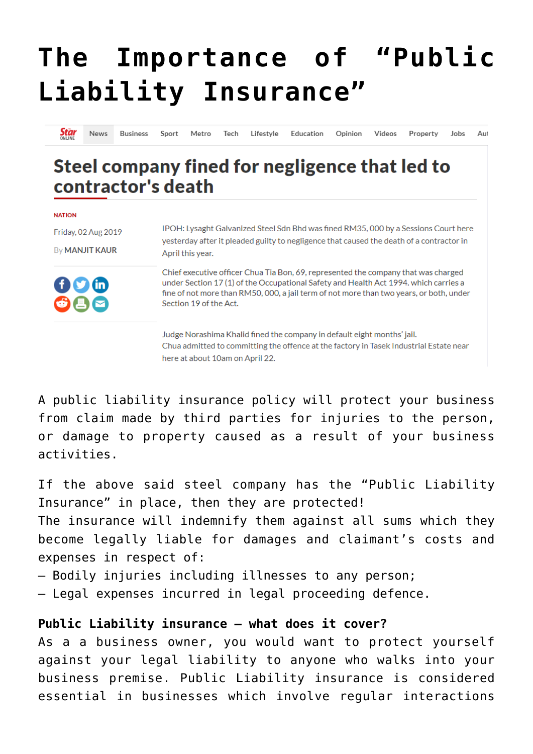## **[The Importance of "Public](https://www.edindings.com/the-importance-of-public-liability-insurance/) [Liability Insurance"](https://www.edindings.com/the-importance-of-public-liability-insurance/)**

Star News **Business** Sport Metro Tech Lifestyle Education Opinion Videos Property Jobs Aut

## Steel company fined for negligence that led to contractor's death

| <b>NATION</b>         |                                                                                                                                                                                                                                                                                                 |
|-----------------------|-------------------------------------------------------------------------------------------------------------------------------------------------------------------------------------------------------------------------------------------------------------------------------------------------|
| Friday, 02 Aug 2019   | IPOH: Lysaght Galvanized Steel Sdn Bhd was fined RM35,000 by a Sessions Court here                                                                                                                                                                                                              |
| By <b>MANJIT KAUR</b> | yesterday after it pleaded guilty to negligence that caused the death of a contractor in<br>April this year.                                                                                                                                                                                    |
| 000<br>086            | Chief executive officer Chua Tia Bon, 69, represented the company that was charged<br>under Section 17 (1) of the Occupational Safety and Health Act 1994. which carries a<br>fine of not more than RM50, 000, a jail term of not more than two years, or both, under<br>Section 19 of the Act. |
|                       | Judge Norashima Khalid fined the company in default eight months' jail.<br>Chua admitted to committing the offence at the factory in Tasek Industrial Estate near                                                                                                                               |

A public liability insurance policy will protect your business from claim made by third parties for injuries to the person, or damage to property caused as a result of your business activities.

If the above said steel company has the "Public Liability Insurance" in place, then they are protected! The insurance will indemnify them against all sums which they become legally liable for damages and claimant's costs and expenses in respect of:

– Bodily injuries including illnesses to any person;

here at about 10am on April 22.

– Legal expenses incurred in legal proceeding defence.

## **Public Liability insurance – what does it cover?**

As a a business owner, you would want to protect yourself against your legal liability to anyone who walks into your business premise. Public Liability insurance is considered essential in businesses which involve regular interactions